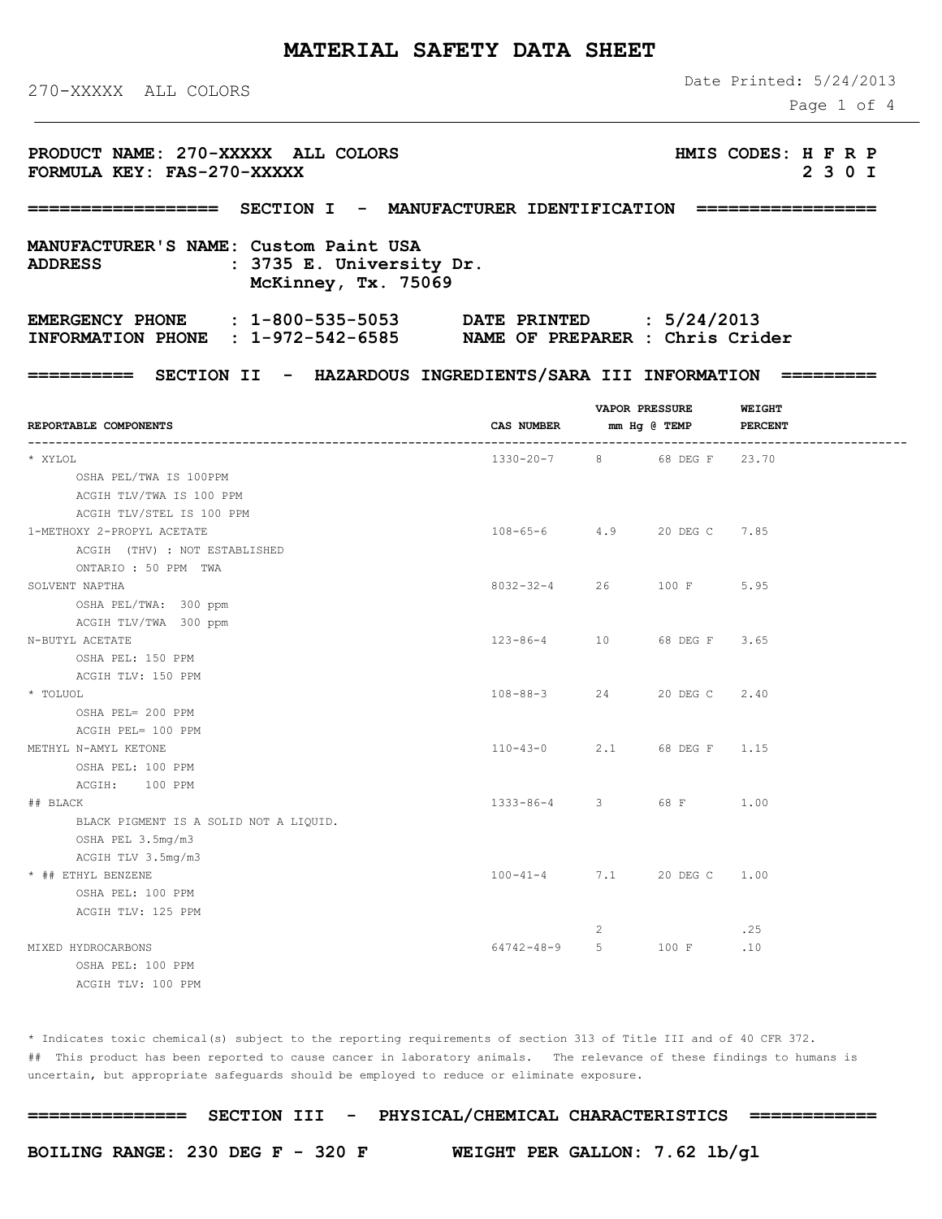# **MATERIAL SAFETY DATA SHEET**

270-XXXXX ALL COLORS

Date Printed: 5/24/2013

Page 1 of 4

| PRODUCT NAME: 270-XXXXX ALL COLORS<br>FORMULA KEY: FAS-270-XXXXX                                                                |                            |                       |              |                                 | HMIS CODES: H F R P<br>2 3 0 I |  |  |  |  |
|---------------------------------------------------------------------------------------------------------------------------------|----------------------------|-----------------------|--------------|---------------------------------|--------------------------------|--|--|--|--|
| SECTION I - MANUFACTURER IDENTIFICATION =================<br>=================                                                  |                            |                       |              |                                 |                                |  |  |  |  |
| MANUFACTURER'S NAME: Custom Paint USA<br>: 3735 E. University Dr.<br><b>ADDRESS</b><br>McKinney, Tx. 75069                      |                            |                       |              |                                 |                                |  |  |  |  |
| EMERGENCY PHONE : 1-800-535-5053 DATE PRINTED : 5/24/2013<br>INFORMATION PHONE : 1-972-542-6585 NAME OF PREPARER : Chris Crider |                            |                       |              |                                 |                                |  |  |  |  |
| ========== SECTION II - HAZARDOUS INGREDIENTS/SARA III INFORMATION                                                              |                            |                       |              |                                 |                                |  |  |  |  |
| REPORTABLE COMPONENTS                                                                                                           | CAS NUMBER                 | <b>VAPOR PRESSURE</b> | mm Hg @ TEMP | <b>WEIGHT</b><br><b>PERCENT</b> |                                |  |  |  |  |
| * XYLOL                                                                                                                         | 1330-20-7 8 68 DEG F 23.70 |                       |              |                                 |                                |  |  |  |  |
| OSHA PEL/TWA IS 100PPM<br>ACGIH TLV/TWA IS 100 PPM<br>ACGIH TLV/STEL IS 100 PPM                                                 |                            |                       |              |                                 |                                |  |  |  |  |
| 1-METHOXY 2-PROPYL ACETATE                                                                                                      | 108-65-6 4.9 20 DEG C 7.85 |                       |              |                                 |                                |  |  |  |  |
| ACGIH (THV) : NOT ESTABLISHED                                                                                                   |                            |                       |              |                                 |                                |  |  |  |  |
| ONTARIO : 50 PPM TWA<br>SOLVENT NAPTHA<br>OSHA PEL/TWA: 300 ppm                                                                 | $8032 - 32 - 4$ 26         |                       | 100 F        | 5.95                            |                                |  |  |  |  |
| ACGIH TLV/TWA 300 ppm<br>N-BUTYL ACETATE<br>OSHA PEL: 150 PPM                                                                   | $123 - 86 - 4$ 10          |                       | 68 DEG F     | 3.65                            |                                |  |  |  |  |
| ACGIH TLV: 150 PPM<br>* TOLUOL<br>OSHA PEL= 200 PPM                                                                             | $108 - 88 - 3$ 24          |                       | 20 DEG C     | 2.40                            |                                |  |  |  |  |
| ACGIH PEL= 100 PPM<br>METHYL N-AMYL KETONE<br>OSHA PEL: 100 PPM                                                                 | 110-43-0 2.1 68 DEG F 1.15 |                       |              |                                 |                                |  |  |  |  |
| ACGIH: 100 PPM<br>## BLACK<br>BLACK PIGMENT IS A SOLID NOT A LIQUID.                                                            | $1333 - 86 - 4$ 3          |                       | 68 F         | 1.00                            |                                |  |  |  |  |
| OSHA PEL 3.5mg/m3<br>ACGIH TLV 3.5mg/m3<br>* ## ETHYL BENZENE<br>OSHA PEL: 100 PPM                                              | $100 - 41 - 4$             | 7.1                   | 20 DEG C     | 1.00                            |                                |  |  |  |  |
| ACGIH TLV: 125 PPM                                                                                                              |                            | 2                     |              | .25                             |                                |  |  |  |  |
| MIXED HYDROCARBONS<br>OSHA PEL: 100 PPM<br>ACGIH TLV: 100 PPM                                                                   | $64742 - 48 - 9$           | 5                     | 100 F        | .10                             |                                |  |  |  |  |

\* Indicates toxic chemical(s) subject to the reporting requirements of section 313 of Title III and of 40 CFR 372. ## This product has been reported to cause cancer in laboratory animals. The relevance of these findings to humans is uncertain, but appropriate safeguards should be employed to reduce or eliminate exposure.

**=============== SECTION III - PHYSICAL/CHEMICAL CHARACTERISTICS ============**

**BOILING RANGE: 230 DEG F - 320 F WEIGHT PER GALLON: 7.62 lb/gl**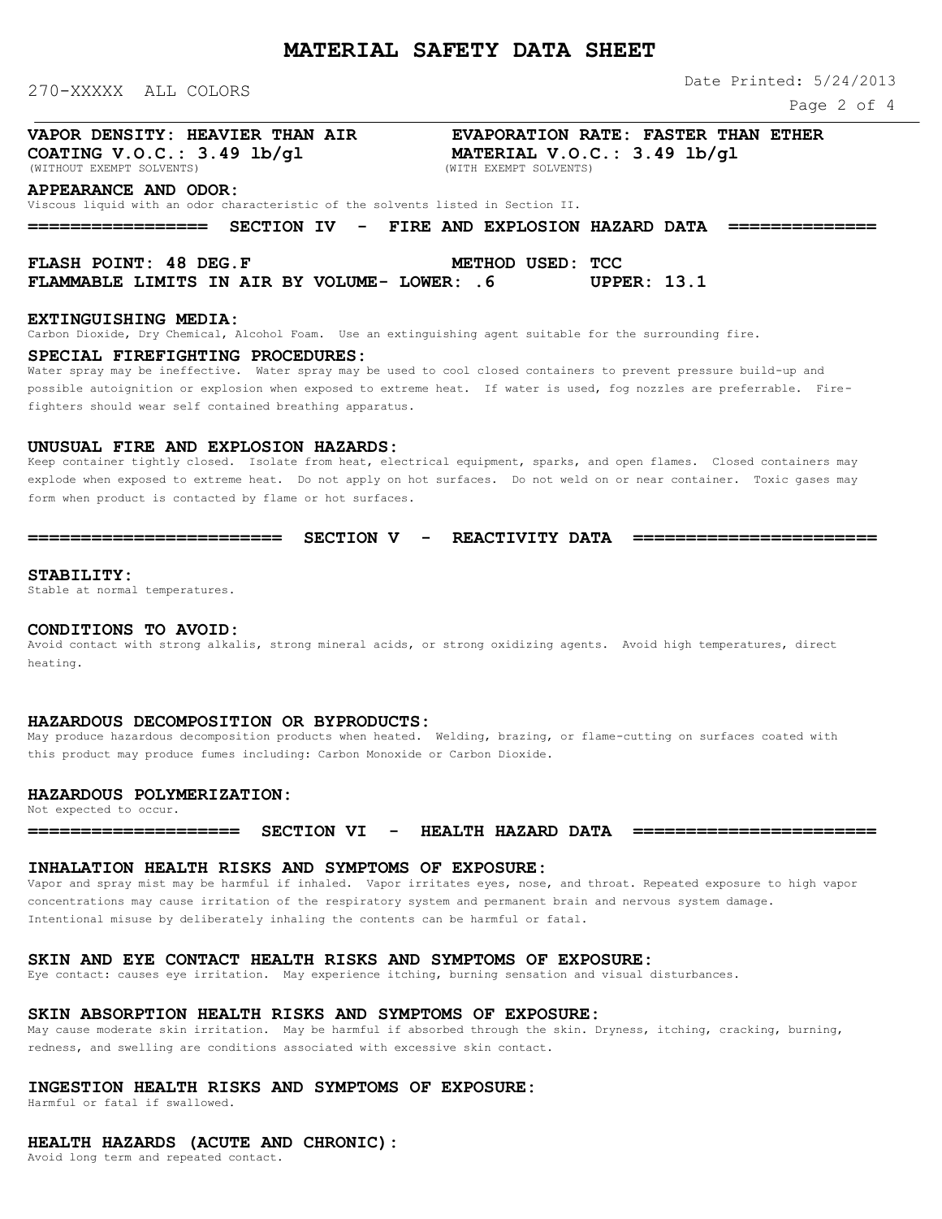270-XXXXX ALL COLORS

**MATERIAL SAFETY DATA SHEET**

Date Printed: 5/24/2013

Page 2 of 4

# **VAPOR DENSITY: HEAVIER THAN AIR EVAPORATION RATE: FASTER THAN ETHER**

**COATING V.O.C.: 3.49 lb/gl MATERIAL V.O.C.: 3.49 lb/gl** (WITHOUT EXEMPT SOLVENTS)

### **APPEARANCE AND ODOR:**

Viscous liquid with an odor characteristic of the solvents listed in Section II.

**================= SECTION IV - FIRE AND EXPLOSION HAZARD DATA ==============**

**FLASH POINT: 48 DEG.F METHOD USED: TCC FLAMMABLE LIMITS IN AIR BY VOLUME- LOWER: .6 UPPER: 13.1**

### **EXTINGUISHING MEDIA:**

Carbon Dioxide, Dry Chemical, Alcohol Foam. Use an extinguishing agent suitable for the surrounding fire.

#### **SPECIAL FIREFIGHTING PROCEDURES:**

Water spray may be ineffective. Water spray may be used to cool closed containers to prevent pressure build-up and possible autoignition or explosion when exposed to extreme heat. If water is used, fog nozzles are preferrable. Firefighters should wear self contained breathing apparatus.

### **UNUSUAL FIRE AND EXPLOSION HAZARDS:**

Keep container tightly closed. Isolate from heat, electrical equipment, sparks, and open flames. Closed containers may explode when exposed to extreme heat. Do not apply on hot surfaces. Do not weld on or near container. Toxic gases may form when product is contacted by flame or hot surfaces.

#### **======================== SECTION V - REACTIVITY DATA =======================**

#### **STABILITY:**

Stable at normal temperatures.

### **CONDITIONS TO AVOID:**

Avoid contact with strong alkalis, strong mineral acids, or strong oxidizing agents. Avoid high temperatures, direct heating.

#### **HAZARDOUS DECOMPOSITION OR BYPRODUCTS:**

May produce hazardous decomposition products when heated. Welding, brazing, or flame-cutting on surfaces coated with this product may produce fumes including: Carbon Monoxide or Carbon Dioxide.

# **HAZARDOUS POLYMERIZATION:**

Not expected to occur.

**==================== SECTION VI - HEALTH HAZARD DATA =======================**

### **INHALATION HEALTH RISKS AND SYMPTOMS OF EXPOSURE:**

Vapor and spray mist may be harmful if inhaled. Vapor irritates eyes, nose, and throat. Repeated exposure to high vapor concentrations may cause irritation of the respiratory system and permanent brain and nervous system damage. Intentional misuse by deliberately inhaling the contents can be harmful or fatal.

# **SKIN AND EYE CONTACT HEALTH RISKS AND SYMPTOMS OF EXPOSURE:**

Eye contact: causes eye irritation. May experience itching, burning sensation and visual disturbances.

# **SKIN ABSORPTION HEALTH RISKS AND SYMPTOMS OF EXPOSURE:**

May cause moderate skin irritation. May be harmful if absorbed through the skin. Dryness, itching, cracking, burning, redness, and swelling are conditions associated with excessive skin contact.

# **INGESTION HEALTH RISKS AND SYMPTOMS OF EXPOSURE:**

Harmful or fatal if swallowed.

# **HEALTH HAZARDS (ACUTE AND CHRONIC):**

Avoid long term and repeated contact.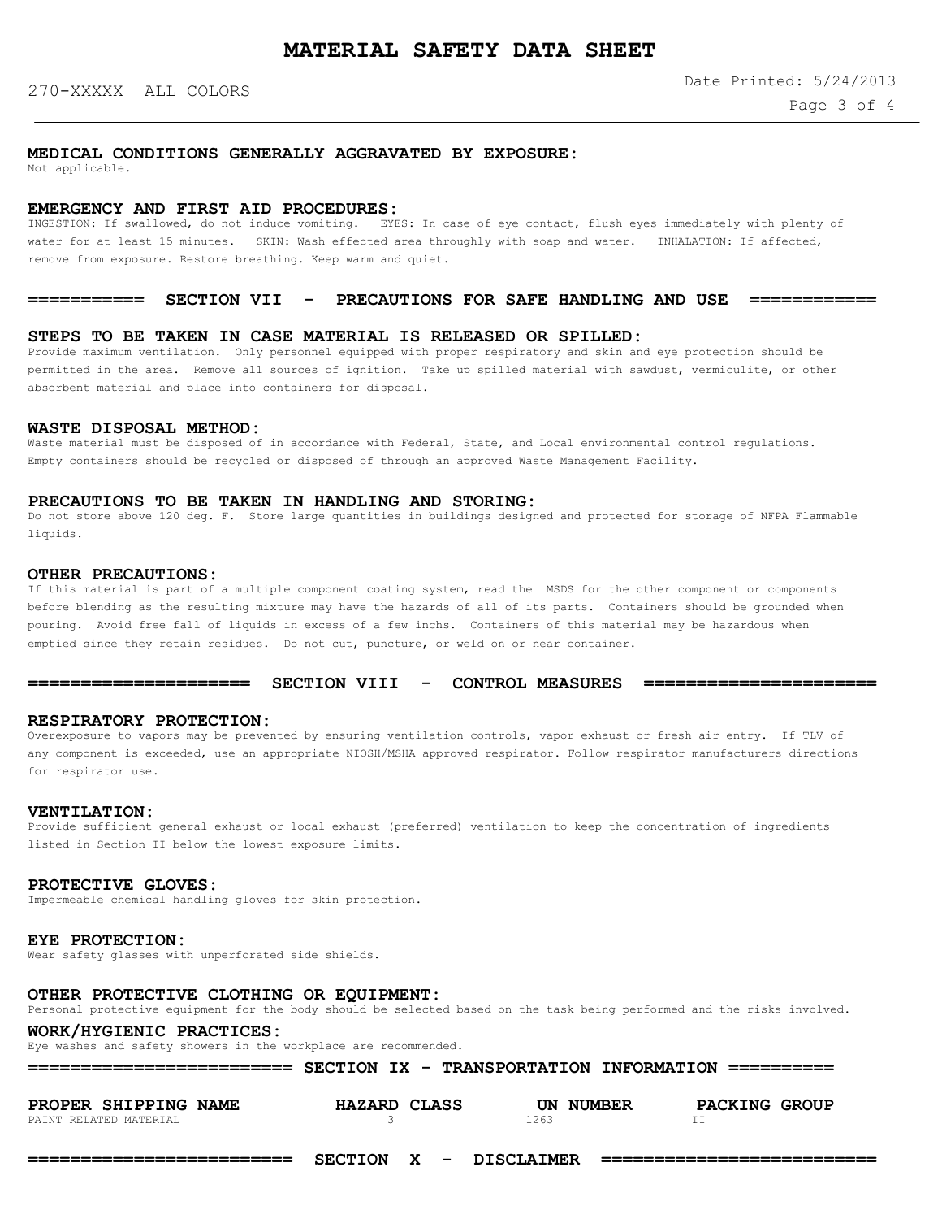## **MEDICAL CONDITIONS GENERALLY AGGRAVATED BY EXPOSURE:**

Not applicable.

### **EMERGENCY AND FIRST AID PROCEDURES:**

INGESTION: If swallowed, do not induce vomiting. EYES: In case of eye contact, flush eyes immediately with plenty of water for at least 15 minutes. SKIN: Wash effected area throughly with soap and water. INHALATION: If affected, remove from exposure. Restore breathing. Keep warm and quiet.

### **=========== SECTION VII - PRECAUTIONS FOR SAFE HANDLING AND USE ============**

### **STEPS TO BE TAKEN IN CASE MATERIAL IS RELEASED OR SPILLED:**

Provide maximum ventilation. Only personnel equipped with proper respiratory and skin and eye protection should be permitted in the area. Remove all sources of ignition. Take up spilled material with sawdust, vermiculite, or other absorbent material and place into containers for disposal.

#### WASTE DISPOSAL METHOD:

Waste material must be disposed of in accordance with Federal, State, and Local environmental control regulations. Empty containers should be recycled or disposed of through an approved Waste Management Facility.

# **PRECAUTIONS TO BE TAKEN IN HANDLING AND STORING:**

Do not store above 120 deg. F. Store large quantities in buildings designed and protected for storage of NFPA Flammable liquids.

### **OTHER PRECAUTIONS:**

If this material is part of a multiple component coating system, read the MSDS for the other component or components before blending as the resulting mixture may have the hazards of all of its parts. Containers should be grounded when pouring. Avoid free fall of liquids in excess of a few inchs. Containers of this material may be hazardous when emptied since they retain residues. Do not cut, puncture, or weld on or near container.

**===================== SECTION VIII - CONTROL MEASURES ======================**

# **RESPIRATORY PROTECTION:**

Overexposure to vapors may be prevented by ensuring ventilation controls, vapor exhaust or fresh air entry. If TLV of any component is exceeded, use an appropriate NIOSH/MSHA approved respirator. Follow respirator manufacturers directions for respirator use.

#### **VENTILATION:**

Provide sufficient general exhaust or local exhaust (preferred) ventilation to keep the concentration of ingredients listed in Section II below the lowest exposure limits.

#### **PROTECTIVE GLOVES:**

Impermeable chemical handling gloves for skin protection.

#### **EYE PROTECTION:**

Wear safety glasses with unperforated side shields.

#### **OTHER PROTECTIVE CLOTHING OR EQUIPMENT:**

Personal protective equipment for the body should be selected based on the task being performed and the risks involved.

## **WORK/HYGIENIC PRACTICES:**

Eye washes and safety showers in the workplace are recommended.

| ==========================                     |              | SECTION IX - TRANSPORTATION INFORMATION =========== |                      |
|------------------------------------------------|--------------|-----------------------------------------------------|----------------------|
| PROPER SHIPPING NAME<br>PAINT RELATED MATERIAL | HAZARD CLASS | UN NUMBER<br>1263                                   | <b>PACKING GROUP</b> |

**========================= SECTION X - DISCLAIMER ==========================**